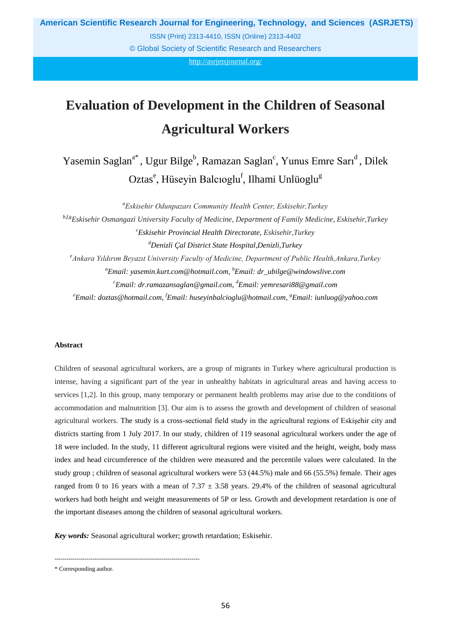**American Scientific Research Journal for Engineering, Technology, and Sciences (ASRJETS)**

ISSN (Print) 2313-4410, ISSN (Online) 2313-4402

© Global Society of Scientific Research and Researchers

http://asrjetsjournal.org/

# **Evaluation of Development in the Children of Seasonal Agricultural Workers**

Yasemin Saglan<sup>a\*</sup>, Ugur Bilge<sup>b</sup>, Ramazan Saglan<sup>c</sup>, Yunus Emre Sarı<sup>d</sup>, Dilek Oztas<sup>e</sup>, Hüseyin Balcıoglu<sup>f</sup>, Ilhami Unlüoglu<sup>g</sup>

*<sup>a</sup>Eskisehir Odunpazarı Community Health Center, Eskisehir,Turkey*

*b,f,gEskisehir Osmangazi University Faculty of Medicine, Department of Family Medicine, Eskisehir,Turkey <sup>c</sup>Eskisehir Provincial Health Directorate, Eskisehir,Turkey <sup>d</sup>Denizli Çal District State Hospital,Denizli,Turkey <sup>e</sup>Ankara Yıldırım Beyazıt University Faculty of Medicine, Department of Public Health,Ankara,Turkey <sup>a</sup>Email: yasemin.kurt.com@hotmail.com, <sup>b</sup>Email: dr\_ubilge@windowslive.com <sup>c</sup>Email: dr.ramazansaglan@gmail.com, <sup>d</sup>Email: yemresari88@gmail.com <sup>e</sup>Email: doztas@hotmail.com, <sup>f</sup>Email: huseyinbalcioglu@hotmail.com, <sup>g</sup>Email: iunluog@yahoo.com*

### **Abstract**

Children of seasonal agricultural workers, are a group of migrants in Turkey where agricultural production is intense, having a significant part of the year in unhealthy habitats in agricultural areas and having access to services [1,2]. In this group, many temporary or permanent health problems may arise due to the conditions of accommodation and malnutrition [3]. Our aim is to assess the growth and development of children of seasonal agricultural workers. The study is a cross-sectional field study in the agricultural regions of Eskişehir city and districts starting from 1 July 2017. In our study, children of 119 seasonal agricultural workers under the age of 18 were included. In the study, 11 different agricultural regions were visited and the height, weight, body mass index and head circumference of the children were measured and the percentile values were calculated. In the study group ; children of seasonal agricultural workers were 53 (44.5%) male and 66 (55.5%) female. Their ages ranged from 0 to 16 years with a mean of 7.37  $\pm$  3.58 years. 29.4% of the children of seasonal agricultural workers had both height and weight measurements of 5P or less. Growth and development retardation is one of the important diseases among the children of seasonal agricultural workers.

*Key words:* Seasonal agricultural worker; growth retardation; Eskisehir.

------------------------------------------------------------------------

\* Corresponding author.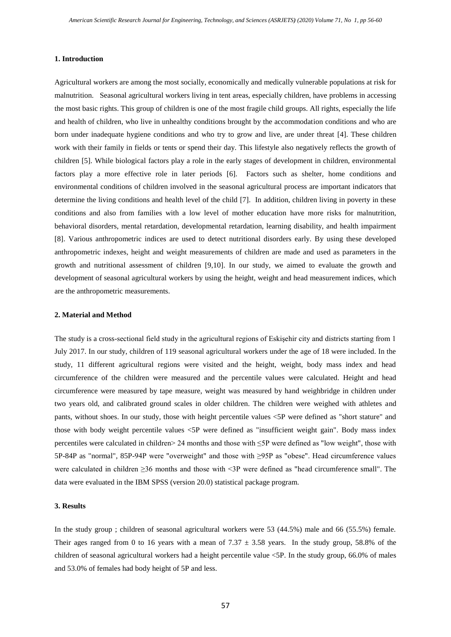#### **1. Introduction**

Agricultural workers are among the most socially, economically and medically vulnerable populations at risk for malnutrition. Seasonal agricultural workers living in tent areas, especially children, have problems in accessing the most basic rights. This group of children is one of the most fragile child groups. All rights, especially the life and health of children, who live in unhealthy conditions brought by the accommodation conditions and who are born under inadequate hygiene conditions and who try to grow and live, are under threat [4]. These children work with their family in fields or tents or spend their day. This lifestyle also negatively reflects the growth of children [5]. While biological factors play a role in the early stages of development in children, environmental factors play a more effective role in later periods [6]. Factors such as shelter, home conditions and environmental conditions of children involved in the seasonal agricultural process are important indicators that determine the living conditions and health level of the child [7]. In addition, children living in poverty in these conditions and also from families with a low level of mother education have more risks for malnutrition, behavioral disorders, mental retardation, developmental retardation, learning disability, and health impairment [8]. Various anthropometric indices are used to detect nutritional disorders early. By using these developed anthropometric indexes, height and weight measurements of children are made and used as parameters in the growth and nutritional assessment of children [9,10]. In our study, we aimed to evaluate the growth and development of seasonal agricultural workers by using the height, weight and head measurement indices, which are the anthropometric measurements.

#### **2. Material and Method**

The study is a cross-sectional field study in the agricultural regions of Eskişehir city and districts starting from 1 July 2017. In our study, children of 119 seasonal agricultural workers under the age of 18 were included. In the study, 11 different agricultural regions were visited and the height, weight, body mass index and head circumference of the children were measured and the percentile values were calculated. Height and head circumference were measured by tape measure, weight was measured by hand weighbridge in children under two years old, and calibrated ground scales in older children. The children were weighed with athletes and pants, without shoes. In our study, those with height percentile values <5P were defined as "short stature" and those with body weight percentile values <5P were defined as "insufficient weight gain". Body mass index percentiles were calculated in children> 24 months and those with ≤5P were defined as "low weight", those with 5P-84P as "normal", 85P-94P were "overweight" and those with ≥95P as "obese". Head circumference values were calculated in children ≥36 months and those with <3P were defined as "head circumference small". The data were evaluated in the IBM SPSS (version 20.0) statistical package program.

## **3. Results**

In the study group ; children of seasonal agricultural workers were 53 (44.5%) male and 66 (55.5%) female. Their ages ranged from 0 to 16 years with a mean of  $7.37 \pm 3.58$  years. In the study group, 58.8% of the children of seasonal agricultural workers had a height percentile value <5P. In the study group, 66.0% of males and 53.0% of females had body height of 5P and less.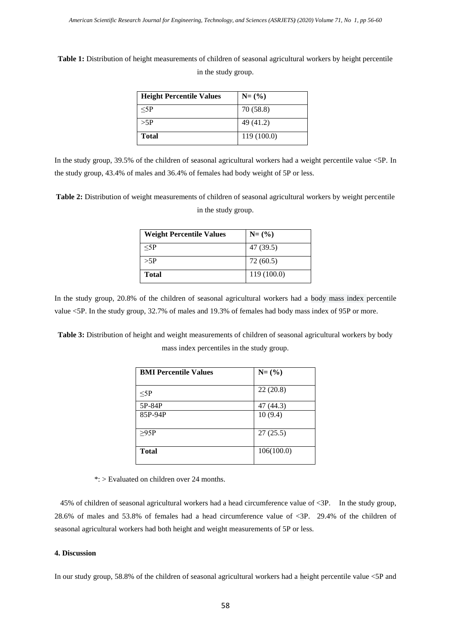**Table 1:** Distribution of height measurements of children of seasonal agricultural workers by height percentile in the study group.

| <b>Height Percentile Values</b> | $N=(\%)$    |
|---------------------------------|-------------|
| $<$ 5P                          | 70 (58.8)   |
| >5P                             | 49(41.2)    |
| <b>Total</b>                    | 119 (100.0) |

In the study group, 39.5% of the children of seasonal agricultural workers had a weight percentile value <5P. In the study group, 43.4% of males and 36.4% of females had body weight of 5P or less.

**Table 2:** Distribution of weight measurements of children of seasonal agricultural workers by weight percentile in the study group.

| <b>Weight Percentile Values</b> | $N=(\%)$    |
|---------------------------------|-------------|
| $<$ 5P                          | 47 (39.5)   |
| >5P                             | 72 (60.5)   |
| <b>Total</b>                    | 119 (100.0) |

In the study group, 20.8% of the children of seasonal agricultural workers had a body mass index percentile value <5P. In the study group, 32.7% of males and 19.3% of females had body mass index of 95P or more.

**Table 3:** Distribution of height and weight measurements of children of seasonal agricultural workers by body mass index percentiles in the study group.

| <b>BMI Percentile Values</b> | $N=(\%)$   |
|------------------------------|------------|
| $<$ 5 $P$                    | 22(20.8)   |
| 5P-84P                       | 47 (44.3)  |
| 85P-94P                      | 10(9.4)    |
| >95P                         | 27(25.5)   |
| <b>Total</b>                 | 106(100.0) |

\*: > Evaluated on children over 24 months.

 45% of children of seasonal agricultural workers had a head circumference value of <3P. In the study group, 28.6% of males and 53.8% of females had a head circumference value of <3P. 29.4% of the children of seasonal agricultural workers had both height and weight measurements of 5P or less.

## **4. Discussion**

In our study group, 58.8% of the children of seasonal agricultural workers had a height percentile value <5P and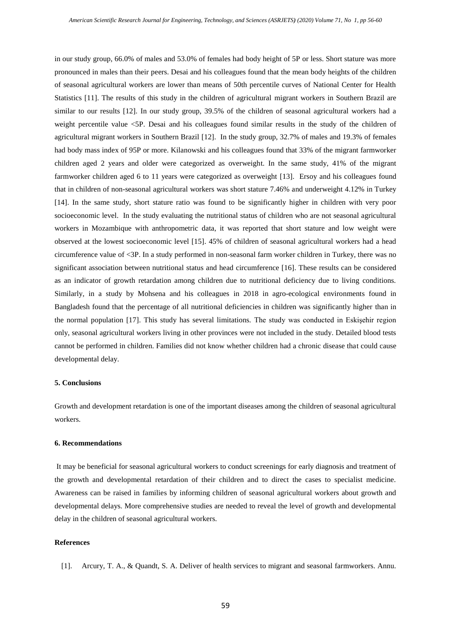in our study group, 66.0% of males and 53.0% of females had body height of 5P or less. Short stature was more pronounced in males than their peers. Desai and his colleagues found that the mean body heights of the children of seasonal agricultural workers are lower than means of 50th percentile curves of National Center for Health Statistics [11]. The results of this study in the children of agricultural migrant workers in Southern Brazil are similar to our results [12]. In our study group, 39.5% of the children of seasonal agricultural workers had a weight percentile value <5P. Desai and his colleagues found similar results in the study of the children of agricultural migrant workers in Southern Brazil [12]. In the study group, 32.7% of males and 19.3% of females had body mass index of 95P or more. Kilanowski and his colleagues found that 33% of the migrant farmworker children aged 2 years and older were categorized as overweight. In the same study, 41% of the migrant farmworker children aged 6 to 11 years were categorized as overweight [13]. Ersoy and his colleagues found that in children of non-seasonal agricultural workers was short stature 7.46% and underweight 4.12% in Turkey [14]. In the same study, short stature ratio was found to be significantly higher in children with very poor socioeconomic level. In the study evaluating the nutritional status of children who are not seasonal agricultural workers in Mozambique with anthropometric data, it was reported that short stature and low weight were observed at the lowest socioeconomic level [15]. 45% of children of seasonal agricultural workers had a head circumference value of <3P. In a study performed in non-seasonal farm worker children in Turkey, there was no significant association between nutritional status and head circumference [16]. These results can be considered as an indicator of growth retardation among children due to nutritional deficiency due to living conditions. Similarly, in a study by Mohsena and his colleagues in 2018 in agro-ecological environments found in Bangladesh found that the percentage of all nutritional deficiencies in children was significantly higher than in the normal population [17]. This study has several limitations. The study was conducted in Eskişehir region only, seasonal agricultural workers living in other provinces were not included in the study. Detailed blood tests cannot be performed in children. Families did not know whether children had a chronic disease that could cause developmental delay.

## **5. Conclusions**

Growth and development retardation is one of the important diseases among the children of seasonal agricultural workers.

## **6. Recommendations**

It may be beneficial for seasonal agricultural workers to conduct screenings for early diagnosis and treatment of the growth and developmental retardation of their children and to direct the cases to specialist medicine. Awareness can be raised in families by informing children of seasonal agricultural workers about growth and developmental delays. More comprehensive studies are needed to reveal the level of growth and developmental delay in the children of seasonal agricultural workers.

#### **References**

[1]. Arcury, T. A., & Quandt, S. A. Deliver of health services to migrant and seasonal farmworkers. Annu.